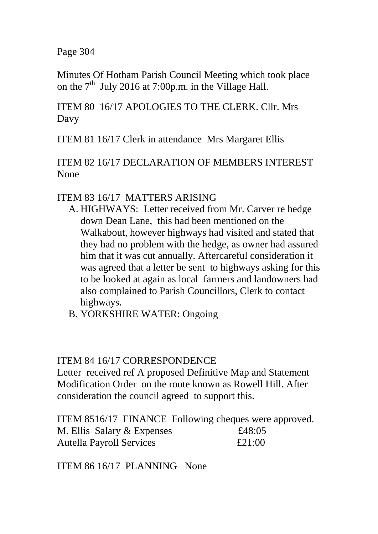Page 304

Minutes Of Hotham Parish Council Meeting which took place on the  $7<sup>th</sup>$  July 2016 at 7:00p.m. in the Village Hall.

ITEM 80 16/17 APOLOGIES TO THE CLERK. Cllr. Mrs Davy

ITEM 81 16/17 Clerk in attendance Mrs Margaret Ellis

ITEM 82 16/17 DECLARATION OF MEMBERS INTEREST None

## ITEM 83 16/17 MATTERS ARISING

- A. HIGHWAYS: Letter received from Mr. Carver re hedge down Dean Lane, this had been mentioned on the Walkabout, however highways had visited and stated that they had no problem with the hedge, as owner had assured him that it was cut annually. Aftercareful consideration it was agreed that a letter be sent to highways asking for this to be looked at again as local farmers and landowners had also complained to Parish Councillors, Clerk to contact highways.
- B. YORKSHIRE WATER: Ongoing

## ITEM 84 16/17 CORRESPONDENCE

Letter received ref A proposed Definitive Map and Statement Modification Order on the route known as Rowell Hill. After consideration the council agreed to support this.

|                                 | ITEM 8516/17 FINANCE Following cheques were approved. |
|---------------------------------|-------------------------------------------------------|
| M. Ellis Salary & Expenses      | £48:05                                                |
| <b>Autella Payroll Services</b> | £21:00                                                |

ITEM 86 16/17 PLANNING None